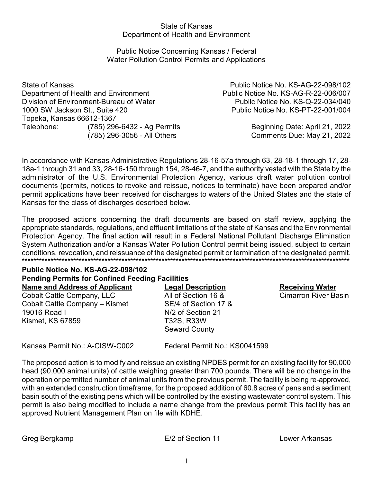### **State of Kansas** Department of Health and Environment

### Public Notice Concerning Kansas / Federal **Water Pollution Control Permits and Applications**

State of Kansas Department of Health and Environment Division of Environment-Bureau of Water 1000 SW Jackson St., Suite 420 Topeka, Kansas 66612-1367 Telephone: (785) 296-6432 - Ag Permits (785) 296-3056 - All Others

Public Notice No. KS-AG-22-098/102 Public Notice No. KS-AG-R-22-006/007 Public Notice No. KS-Q-22-034/040 Public Notice No. KS-PT-22-001/004

> Beginning Date: April 21, 2022 Comments Due: May 21, 2022

In accordance with Kansas Administrative Regulations 28-16-57a through 63, 28-18-1 through 17, 28-18a-1 through 31 and 33, 28-16-150 through 154, 28-46-7, and the authority vested with the State by the administrator of the U.S. Environmental Protection Agency, various draft water pollution control documents (permits, notices to revoke and reissue, notices to terminate) have been prepared and/or permit applications have been received for discharges to waters of the United States and the state of Kansas for the class of discharges described below.

The proposed actions concerning the draft documents are based on staff review, applying the appropriate standards, regulations, and effluent limitations of the state of Kansas and the Environmental Protection Agency. The final action will result in a Federal National Pollutant Discharge Elimination System Authorization and/or a Kansas Water Pollution Control permit being issued, subject to certain conditions, revocation, and reissuance of the designated permit or termination of the designated permit.

### **Public Notice No. KS-AG-22-098/102 Pending Permits for Confined Feeding Facilities** Name and Address of Applicant

Cobalt Cattle Company, LLC Cobalt Cattle Company - Kismet 19016 Road I **Kismet, KS 67859** 

**Legal Description** All of Section 16 & SE/4 of Section 17 & N/2 of Section 21 T32S, R33W **Seward County** 

**Receiving Water** 

**Cimarron River Basin** 

Kansas Permit No.: A-CISW-C002

Federal Permit No.: KS0041599

The proposed action is to modify and reissue an existing NPDES permit for an existing facility for 90,000 head (90,000 animal units) of cattle weighing greater than 700 pounds. There will be no change in the operation or permitted number of animal units from the previous permit. The facility is being re-approved, with an extended construction timeframe, for the proposed addition of 60.8 acres of pens and a sediment basin south of the existing pens which will be controlled by the existing wastewater control system. This permit is also being modified to include a name change from the previous permit This facility has an approved Nutrient Management Plan on file with KDHE.

E/2 of Section 11

Lower Arkansas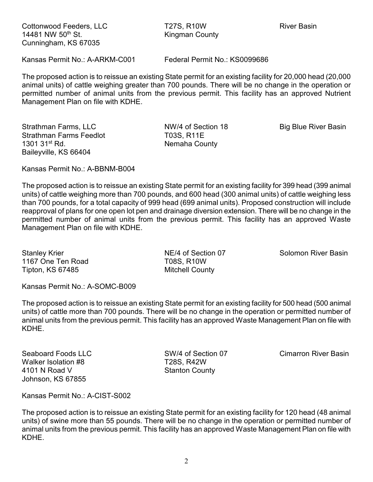Cottonwood Feeders, LLC 
and Tarry T27S, R10W TO River Basin 14481 NW 50<sup>th</sup> St. **Kingman County** Cunningham, KS 67035

Kansas Permit No.: A-ARKM-C001 Federal Permit No.: KS0099686

The proposed action is to reissue an existing State permit for an existing facility for 20,000 head (20,000 animal units) of cattle weighing greater than 700 pounds. There will be no change in the operation or permitted number of animal units from the previous permit. This facility has an approved Nutrient Management Plan on file with KDHE.

Strathman Farms, LLC **NW/4 of Section 18** Big Blue River Basin Strathman Farms Feedlot T03S, R11E 1301 31<sup>st</sup> Rd. Nemaha County Baileyville, KS 66404

Kansas Permit No.: A-BBNM-B004

The proposed action is to reissue an existing State permit for an existing facility for 399 head (399 animal units) of cattle weighing more than 700 pounds, and 600 head (300 animal units) of cattle weighing less than 700 pounds, for a total capacity of 999 head (699 animal units). Proposed construction will include reapproval of plans for one open lot pen and drainage diversion extension. There will be no change in the permitted number of animal units from the previous permit. This facility has an approved Waste Management Plan on file with KDHE.

1167 One Ten Road T08S, R10W Tipton, KS 67485 Mitchell County

Stanley Krier **NE/4 of Section 07** Solomon River Basin

Kansas Permit No.: A-SOMC-B009

The proposed action is to reissue an existing State permit for an existing facility for 500 head (500 animal units) of cattle more than 700 pounds. There will be no change in the operation or permitted number of animal units from the previous permit. This facility has an approved Waste Management Plan on file with KDHE.

Seaboard Foods LLC SW/4 of Section 07 Cimarron River Basin Walker Isolation #8 T28S, R42W 4101 N Road V Stanton County Johnson, KS 67855

Kansas Permit No.: A-CIST-S002

The proposed action is to reissue an existing State permit for an existing facility for 120 head (48 animal units) of swine more than 55 pounds. There will be no change in the operation or permitted number of animal units from the previous permit. This facility has an approved Waste Management Plan on file with KDHE.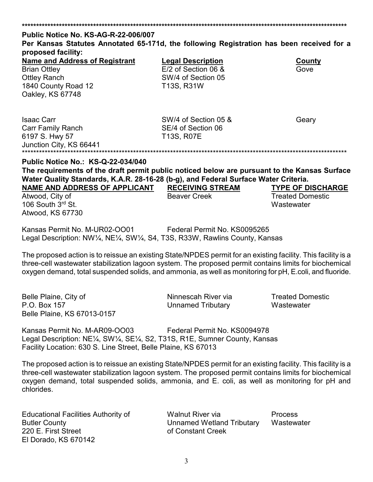## **\*\*\*\*\*\*\*\*\*\*\*\*\*\*\*\*\*\*\*\*\*\*\*\*\*\*\*\*\*\*\*\*\*\*\*\*\*\*\*\*\*\*\*\*\*\*\*\*\*\*\*\*\*\*\*\*\*\*\*\*\*\*\*\*\*\*\*\*\*\*\*\*\*\*\*\*\*\*\*\*\*\*\*\*\*\*\*\*\*\*\*\*\*\*\*\*\*\*\*\*\*\*\*\*\*\*\*\*\*\*\*\*\*\* Public Notice No. KS-AG-R-22-006/007 Per Kansas Statutes Annotated 65-171d, the following Registration has been received for a proposed facility: Name and Address of Registrant Legal Description County**

| <u>Natile and Address of Registration</u>                                                                                                                                           | LUYAI DUSUIDUUII        | <b>OUUIILY</b>           |
|-------------------------------------------------------------------------------------------------------------------------------------------------------------------------------------|-------------------------|--------------------------|
| <b>Brian Ottley</b>                                                                                                                                                                 | $E/2$ of Section 06 &   | Gove                     |
| <b>Ottley Ranch</b>                                                                                                                                                                 | SW/4 of Section 05      |                          |
| 1840 County Road 12                                                                                                                                                                 | T13S, R31W              |                          |
| Oakley, KS 67748                                                                                                                                                                    |                         |                          |
| <b>Isaac Carr</b>                                                                                                                                                                   | SW/4 of Section 05 &    | Geary                    |
| <b>Carr Family Ranch</b>                                                                                                                                                            | SE/4 of Section 06      |                          |
| 6197 S. Hwy 57                                                                                                                                                                      | T13S, R07E              |                          |
| Junction City, KS 66441                                                                                                                                                             |                         |                          |
| <b>Public Notice No.: KS-Q-22-034/040</b>                                                                                                                                           |                         |                          |
| The requirements of the draft permit public noticed below are pursuant to the Kansas Surface<br>Water Quality Standards, K.A.R. 28-16-28 (b-g), and Federal Surface Water Criteria. |                         |                          |
| <b>NAME AND ADDRESS OF APPLICANT</b>                                                                                                                                                | <b>RECEIVING STREAM</b> | <b>TYPE OF DISCHARGE</b> |
| Atwood, City of                                                                                                                                                                     | <b>Beaver Creek</b>     | <b>Treated Domestic</b>  |
|                                                                                                                                                                                     |                         |                          |

106 South 3rd St. Wastewater Atwood, KS 67730

Kansas Permit No. M-UR02-OO01 Federal Permit No. KS0095265 Legal Description: NW¼, NE¼, SW¼, S4, T3S, R33W, Rawlins County, Kansas

The proposed action is to reissue an existing State/NPDES permit for an existing facility. This facility is a three-cell wastewater stabilization lagoon system. The proposed permit contains limits for biochemical oxygen demand, total suspended solids, and ammonia, as well as monitoring for pH, E.coli, and fluoride.

| Belle Plaine, City of       |  |
|-----------------------------|--|
| P.O. Box 157                |  |
| Belle Plaine, KS 67013-0157 |  |

Ninnescah River via **Treated Domestic Unnamed Tributary Wastewater** 

Kansas Permit No. M-AR09-OO03 Federal Permit No. KS0094978 Legal Description: NE¼, SW¼, SE¼, S2, T31S, R1E, Sumner County, Kansas Facility Location: 630 S. Line Street, Belle Plaine, KS 67013

The proposed action is to reissue an existing State/NPDES permit for an existing facility. This facility is a three-cell wastewater stabilization lagoon system. The proposed permit contains limits for biochemical oxygen demand, total suspended solids, ammonia, and E. coli, as well as monitoring for pH and chlorides.

220 E. First Street **Constant Creek of Constant Creek** El Dorado, KS 670142

Educational Facilities Authority of Walnut River via Process Butler County Unnamed Wetland Tributary Wastewater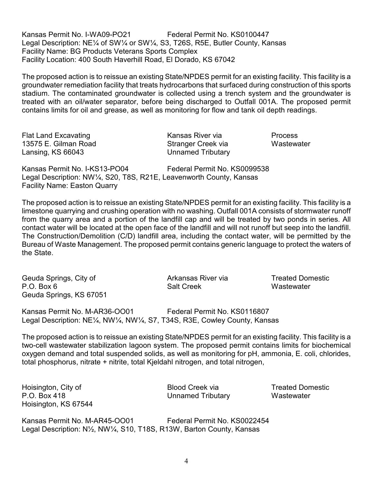Kansas Permit No. I-WA09-PO21 Federal Permit No. KS0100447 Legal Description: NE¼ of SW¼ or SW¼, S3, T26S, R5E, Butler County, Kansas Facility Name: BG Products Veterans Sports Complex Facility Location: 400 South Haverhill Road, El Dorado, KS 67042

The proposed action is to reissue an existing State/NPDES permit for an existing facility. This facility is a groundwater remediation facility that treats hydrocarbons that surfaced during construction of this sports stadium. The contaminated groundwater is collected using a trench system and the groundwater is treated with an oil/water separator, before being discharged to Outfall 001A. The proposed permit contains limits for oil and grease, as well as monitoring for flow and tank oil depth readings.

Flat Land Excavating The Research Cansas River via Process 13575 E. Gilman Road Stranger Creek via Wastewater Lansing, KS 66043 Unnamed Tributary

Kansas Permit No. I-KS13-PO04 Federal Permit No. KS0099538 Legal Description: NW¼, S20, T8S, R21E, Leavenworth County, Kansas Facility Name: Easton Quarry

The proposed action is to reissue an existing State/NPDES permit for an existing facility. This facility is a limestone quarrying and crushing operation with no washing. Outfall 001A consists of stormwater runoff from the quarry area and a portion of the landfill cap and will be treated by two ponds in series. All contact water will be located at the open face of the landfill and will not runoff but seep into the landfill. The Construction/Demolition (C/D) landfill area, including the contact water, will be permitted by the Bureau of Waste Management. The proposed permit contains generic language to protect the waters of the State.

Geuda Springs, City of **Arkansas River via** Arkansas River via P.O. Box 6 Next Construction Salt Creek Next Creek Mastewater Geuda Springs, KS 67051 Kansas Permit No. M-AR36-OO01 Federal Permit No. KS0116807 Legal Description: NE¼, NW¼, NW¼, S7, T34S, R3E, Cowley County, Kansas

The proposed action is to reissue an existing State/NPDES permit for an existing facility. This facility is a two-cell wastewater stabilization lagoon system. The proposed permit contains limits for biochemical oxygen demand and total suspended solids, as well as monitoring for pH, ammonia, E. coli, chlorides, total phosphorus, nitrate + nitrite, total Kjeldahl nitrogen, and total nitrogen,

Hoisington, City of **Blood Creek via** Blood Creek via Treated Domestic P.O. Box 418 Unnamed Tributary Wastewater Hoisington, KS 67544

Kansas Permit No. M-AR45-OO01 Federal Permit No. KS0022454 Legal Description: N½, NW¼, S10, T18S, R13W, Barton County, Kansas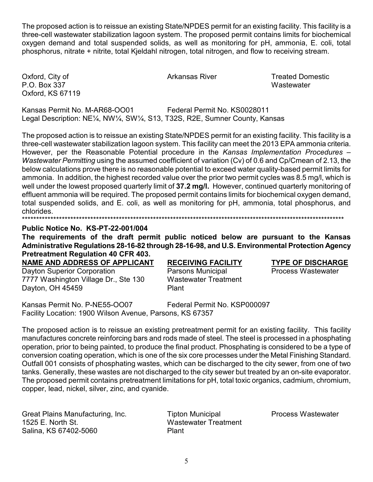The proposed action is to reissue an existing State/NPDES permit for an existing facility. This facility is a three-cell wastewater stabilization lagoon system. The proposed permit contains limits for biochemical oxygen demand and total suspended solids, as well as monitoring for pH, ammonia, E. coli, total phosphorus, nitrate + nitrite, total Kjeldahl nitrogen, total nitrogen, and flow to receiving stream.

Oxford, City of P.O. Box 337 Oxford, KS 67119 Arkansas River

**Treated Domestic** Wastewater

Kansas Permit No. M-AR68-OO01 Federal Permit No. KS0028011 Legal Description: NE<sup>1</sup>/<sub>4</sub>, NW<sup>1</sup>/<sub>4</sub>, SW<sup>1</sup>/<sub>4</sub>, S13, T32S, R2E, Sumner County, Kansas

The proposed action is to reissue an existing State/NPDES permit for an existing facility. This facility is a three-cell wastewater stabilization lagoon system. This facility can meet the 2013 EPA ammonia criteria. However, per the Reasonable Potential procedure in the Kansas Implementation Procedures – Wastewater Permitting using the assumed coefficient of variation (Cv) of 0.6 and Cp/Cmean of 2.13, the below calculations prove there is no reasonable potential to exceed water quality-based permit limits for ammonia. In addition, the highest recorded value over the prior two permit cycles was 8.5 mg/l, which is well under the lowest proposed quarterly limit of 37.2 mg/l. However, continued quarterly monitoring of effluent ammonia will be required. The proposed permit contains limits for biochemical oxygen demand, total suspended solids, and E. coli, as well as monitoring for pH, ammonia, total phosphorus, and chlorides 

## Public Notice No. KS-PT-22-001/004

The requirements of the draft permit public noticed below are pursuant to the Kansas Administrative Regulations 28-16-82 through 28-16-98, and U.S. Environmental Protection Agency **Pretreatment Regulation 40 CFR 403.** 

NAME AND ADDRESS OF APPLICANT

**Dayton Superior Corporation** 7777 Washington Village Dr., Ste 130 Dayton, OH 45459

# **RECEIVING FACILITY**

Parsons Municipal **Wastewater Treatment** Plant

## **TYPE OF DISCHARGE**

**Process Wastewater** 

Kansas Permit No. P-NE55-OO07 Federal Permit No. KSP000097 Facility Location: 1900 Wilson Avenue, Parsons, KS 67357

The proposed action is to reissue an existing pretreatment permit for an existing facility. This facility manufactures concrete reinforcing bars and rods made of steel. The steel is processed in a phosphating operation, prior to being painted, to produce the final product. Phosphating is considered to be a type of conversion coating operation, which is one of the six core processes under the Metal Finishing Standard. Outfall 001 consists of phosphating wastes, which can be discharged to the city sewer, from one of two tanks. Generally, these wastes are not discharged to the city sewer but treated by an on-site evaporator. The proposed permit contains pretreatment limitations for pH, total toxic organics, cadmium, chromium, copper, lead, nickel, silver, zinc, and cyanide.

Great Plains Manufacturing, Inc. 1525 E. North St. Salina, KS 67402-5060

**Tipton Municipal Wastewater Treatment** Plant

**Process Wastewater**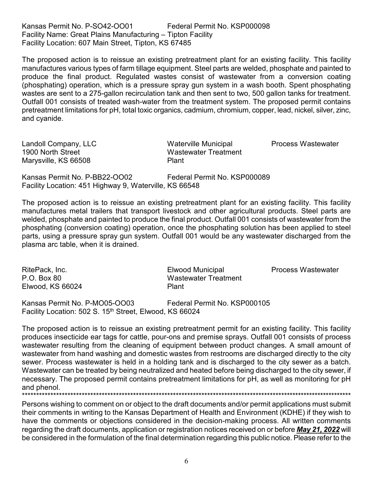Kansas Permit No. P-SO42-OO01 Federal Permit No. KSP000098 Facility Name: Great Plains Manufacturing – Tipton Facility Facility Location: 607 Main Street, Tipton, KS 67485

The proposed action is to reissue an existing pretreatment plant for an existing facility. This facility manufactures various types of farm tillage equipment. Steel parts are welded, phosphate and painted to produce the final product. Regulated wastes consist of wastewater from a conversion coating (phosphating) operation, which is a pressure spray gun system in a wash booth. Spent phosphating wastes are sent to a 275-gallon recirculation tank and then sent to two, 500 gallon tanks for treatment. Outfall 001 consists of treated wash-water from the treatment system. The proposed permit contains pretreatment limitations for pH, total toxic organics, cadmium, chromium, copper, lead, nickel, silver, zinc, and cyanide.

1900 North Street **Wastewater Treatment** Marysville, KS 66508 Plant

Landoll Company, LLC Waterville Municipal Process Wastewater

Kansas Permit No. P-BB22-OO02 Federal Permit No. KSP000089 Facility Location: 451 Highway 9, Waterville, KS 66548

The proposed action is to reissue an existing pretreatment plant for an existing facility. This facility manufactures metal trailers that transport livestock and other agricultural products. Steel parts are welded, phosphate and painted to produce the final product. Outfall 001 consists of wastewater from the phosphating (conversion coating) operation, once the phosphating solution has been applied to steel parts, using a pressure spray gun system. Outfall 001 would be any wastewater discharged from the plasma arc table, when it is drained.

RitePack, Inc. **Elwood Municipal Process Wastewater** Elwood Municipal Process Wastewater P.O. Box 80 Wastewater Treatment Elwood, KS 66024 Plant Kansas Permit No. P-MO05-OO03 Federal Permit No. KSP000105 Facility Location: 502 S. 15<sup>th</sup> Street, Elwood, KS 66024

The proposed action is to reissue an existing pretreatment permit for an existing facility. This facility produces insecticide ear tags for cattle, pour-ons and premise sprays. Outfall 001 consists of process wastewater resulting from the cleaning of equipment between product changes. A small amount of wastewater from hand washing and domestic wastes from restrooms are discharged directly to the city sewer. Process wastewater is held in a holding tank and is discharged to the city sewer as a batch. Wastewater can be treated by being neutralized and heated before being discharged to the city sewer, if necessary. The proposed permit contains pretreatment limitations for pH, as well as monitoring for pH and phenol.

\*\*\*\*\*\*\*\*\*\*\*\*\*\*\*\*\*\*\*\*\*\*\*\*\*\*\*\*\*\*\*\*\*\*\*\*\*\*\*\*\*\*\*\*\*\*\*\*\*\*\*\*\*\*\*\*\*\*\*\*\*\*\*\*\*\*\*\*\*\*\*\*\*\*\*\*\*\*\*\*\*\*\*\*\*\*\*\*\*\*\*\*\*\*\*\*\*\*\*\*\*\*\*\*\*\*\*\*\*\*\*\*\*\*\*\*

Persons wishing to comment on or object to the draft documents and/or permit applications must submit their comments in writing to the Kansas Department of Health and Environment (KDHE) if they wish to have the comments or objections considered in the decision-making process. All written comments regarding the draft documents, application or registration notices received on or before *May 21, 2022* will be considered in the formulation of the final determination regarding this public notice. Please refer to the